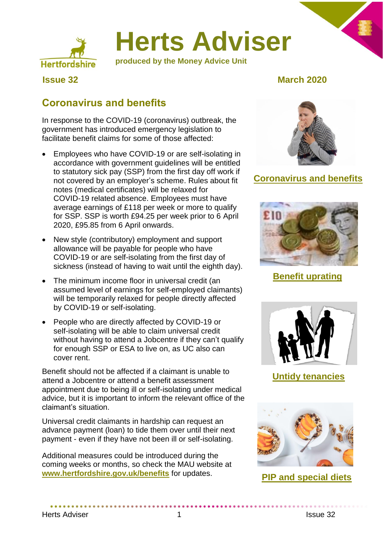<span id="page-0-0"></span>

# **Herts Adviser**

**produced by the Money Advice Unit**

#### **Issue 32 March 2020**

## **Coronavirus and benefits**

In response to the COVID-19 (coronavirus) outbreak, the government has introduced emergency legislation to facilitate benefit claims for some of those affected:

- Employees who have COVID-19 or are self-isolating in accordance with government guidelines will be entitled to statutory sick pay (SSP) from the first day off work if not covered by an employer's scheme. Rules about fit notes (medical certificates) will be relaxed for COVID-19 related absence. Employees must have average earnings of £118 per week or more to qualify for SSP. SSP is worth £94.25 per week prior to 6 April 2020, £95.85 from 6 April onwards.
- New style (contributory) employment and support allowance will be payable for people who have COVID-19 or are self-isolating from the first day of sickness (instead of having to wait until the eighth day).
- The minimum income floor in universal credit (an assumed level of earnings for self-employed claimants) will be temporarily relaxed for people directly affected by COVID-19 or self-isolating.
- People who are directly affected by COVID-19 or self-isolating will be able to claim universal credit without having to attend a Jobcentre if they can't qualify for enough SSP or ESA to live on, as UC also can cover rent.

Benefit should not be affected if a claimant is unable to attend a Jobcentre or attend a benefit assessment appointment due to being ill or self-isolating under medical advice, but it is important to inform the relevant office of the claimant's situation.

Universal credit claimants in hardship can request an advance payment (loan) to tide them over until their next payment - even if they have not been ill or self-isolating.

Additional measures could be introduced during the coming weeks or months, so check the MAU website at **[www.hertfordshire.gov.uk/benefits](http://www.hertfordshire.gov.uk/benefits)** for updates.



## **Coronavirus [and benefits](#page-0-0)**



**[Benefit uprating](#page-1-0)**



**[Untidy tenancies](#page-2-0)**



**[PIP and special diets](#page-5-0)**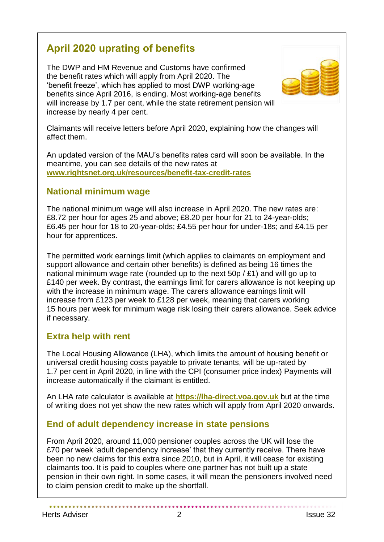# <span id="page-1-0"></span>**April 2020 uprating of benefits**

The DWP and HM Revenue and Customs have confirmed the benefit rates which will apply from April 2020. The 'benefit freeze', which has applied to most DWP working-age benefits since April 2016, is ending. Most working-age benefits will increase by 1.7 per cent, while the state retirement pension will increase by nearly 4 per cent.



Claimants will receive letters before April 2020, explaining how the changes will affect them.

An updated version of the MAU's benefits rates card will soon be available. In the meantime, you can see details of the new rates at **[www.rightsnet.org.uk/resources/benefit-tax-credit-rates](http://www.rightsnet.org.uk/resources/benefit-tax-credit-rates)**

#### **National minimum wage**

The national minimum wage will also increase in April 2020. The new rates are: £8.72 per hour for ages 25 and above; £8.20 per hour for 21 to 24-year-olds; £6.45 per hour for 18 to 20-year-olds; £4.55 per hour for under-18s; and £4.15 per hour for apprentices.

The permitted work earnings limit (which applies to claimants on employment and support allowance and certain other benefits) is defined as being 16 times the national minimum wage rate (rounded up to the next 50p / £1) and will go up to £140 per week. By contrast, the earnings limit for carers allowance is not keeping up with the increase in minimum wage. The carers allowance earnings limit will increase from £123 per week to £128 per week, meaning that carers working 15 hours per week for minimum wage risk losing their carers allowance. Seek advice if necessary.

## **Extra help with rent**

The Local Housing Allowance (LHA), which limits the amount of housing benefit or universal credit housing costs payable to private tenants, will be up-rated by 1.7 per cent in April 2020, in line with the CPI (consumer price index) Payments will increase automatically if the claimant is entitled.

An LHA rate calculator is available at **[https://lha-direct.voa.gov.u](https://lha-direct.voa.gov.uk/)k** but at the time of writing does not yet show the new rates which will apply from April 2020 onwards.

## **End of adult dependency increase in state pensions**

From April 2020, around 11,000 pensioner couples across the UK will lose the £70 per week 'adult dependency increase' that they currently receive. There have been no new claims for this extra since 2010, but in April, it will cease for existing claimants too. It is paid to couples where one partner has not built up a state pension in their own right. In some cases, it will mean the pensioners involved need to claim pension credit to make up the shortfall.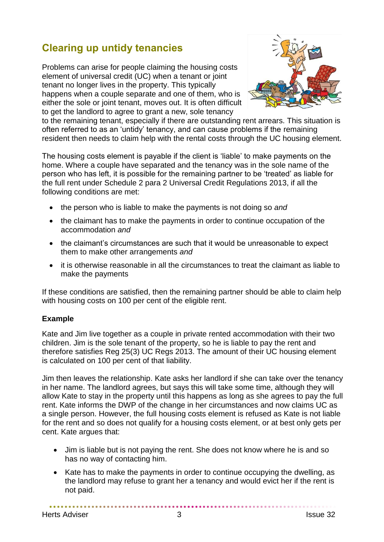# <span id="page-2-0"></span>**Clearing up untidy tenancies**

Problems can arise for people claiming the housing costs element of universal credit (UC) when a tenant or joint tenant no longer lives in the property. This typically happens when a couple separate and one of them, who is either the sole or joint tenant, moves out. It is often difficult to get the landlord to agree to grant a new, sole tenancy



to the remaining tenant, especially if there are outstanding rent arrears. This situation is often referred to as an 'untidy' tenancy, and can cause problems if the remaining resident then needs to claim help with the rental costs through the UC housing element.

The housing costs element is payable if the client is 'liable' to make payments on the home. Where a couple have separated and the tenancy was in the sole name of the person who has left, it is possible for the remaining partner to be 'treated' as liable for the full rent under Schedule 2 para 2 Universal Credit Regulations 2013, if all the following conditions are met:

- the person who is liable to make the payments is not doing so *and*
- the claimant has to make the payments in order to continue occupation of the accommodation *and*
- the claimant's circumstances are such that it would be unreasonable to expect them to make other arrangements *and*
- it is otherwise reasonable in all the circumstances to treat the claimant as liable to make the payments

If these conditions are satisfied, then the remaining partner should be able to claim help with housing costs on 100 per cent of the eligible rent.

#### **Example**

Kate and Jim live together as a couple in private rented accommodation with their two children. Jim is the sole tenant of the property, so he is liable to pay the rent and therefore satisfies Reg 25(3) UC Regs 2013. The amount of their UC housing element is calculated on 100 per cent of that liability.

Jim then leaves the relationship. Kate asks her landlord if she can take over the tenancy in her name. The landlord agrees, but says this will take some time, although they will allow Kate to stay in the property until this happens as long as she agrees to pay the full rent. Kate informs the DWP of the change in her circumstances and now claims UC as a single person. However, the full housing costs element is refused as Kate is not liable for the rent and so does not qualify for a housing costs element, or at best only gets per cent. Kate argues that:

- Jim is liable but is not paying the rent. She does not know where he is and so has no way of contacting him.
- Kate has to make the payments in order to continue occupying the dwelling, as the landlord may refuse to grant her a tenancy and would evict her if the rent is not paid.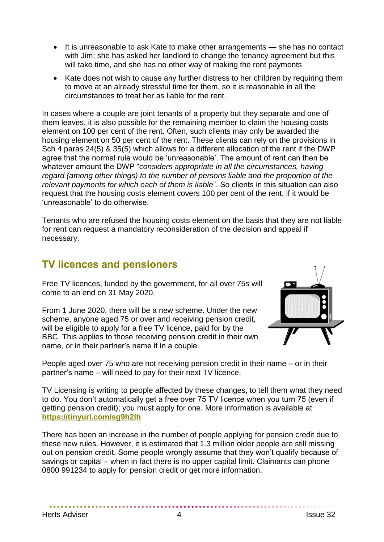- It is unreasonable to ask Kate to make other arrangements she has no contact with Jim; she has asked her landlord to change the tenancy agreement but this will take time, and she has no other way of making the rent payments
- Kate does not wish to cause any further distress to her children by requiring them to move at an already stressful time for them, so it is reasonable in all the circumstances to treat her as liable for the rent.

In cases where a couple are joint tenants of a property but they separate and one of them leaves, it is also possible for the remaining member to claim the housing costs element on 100 per cent of the rent. Often, such clients may only be awarded the housing element on 50 per cent of the rent. These clients can rely on the provisions in Sch 4 paras 24(5) & 35(5) which allows for a different allocation of the rent if the DWP agree that the normal rule would be 'unreasonable'. The amount of rent can then be whatever amount the DWP "*considers appropriate in all the circumstances, having regard (among other things) to the number of persons liable and the proportion of the relevant payments for which each of them is liable*". So clients in this situation can also request that the housing costs element covers 100 per cent of the rent, if it would be 'unreasonable' to do otherwise.

Tenants who are refused the housing costs element on the basis that they are not liable for rent can request a mandatory reconsideration of the decision and appeal if necessary.

## **TV licences and pensioners**

Free TV licences, funded by the government, for all over 75s will come to an end on 31 May 2020.

From 1 June 2020, there will be a new scheme. Under the new scheme, anyone aged 75 or over and receiving pension credit, will be eligible to apply for a free TV licence, paid for by the BBC. This applies to those receiving pension credit in their own name, or in their partner's name if in a couple.



People aged over 75 who are not receiving pension credit in their name – or in their partner's name – will need to pay for their next TV licence.

TV Licensing is writing to people affected by these changes, to tell them what they need to do. You don't automatically get a free over 75 TV licence when you turn 75 (even if getting pension credit); you must apply for one. More information is available at **<https://tinyurl.com/sg9h2lh>**

There has been an increase in the number of people applying for pension credit due to these new rules. However, it is estimated that 1.3 million older people are still missing out on pension credit. Some people wrongly assume that they won't qualify because of savings or capital – when in fact there is no upper capital limit. Claimants can phone 0800 991234 to apply for pension credit or get more information.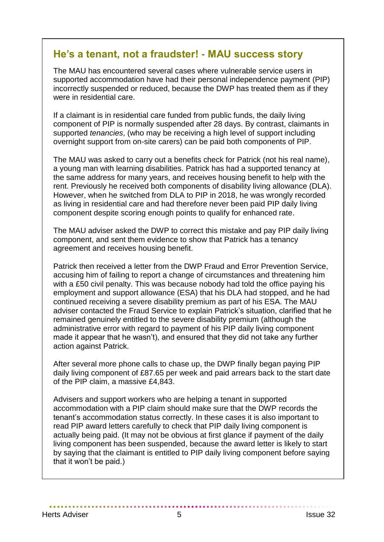## **He's a tenant, not a fraudster! - MAU success story**

The MAU has encountered several cases where vulnerable service users in supported accommodation have had their personal independence payment (PIP) incorrectly suspended or reduced, because the DWP has treated them as if they were in residential care.

If a claimant is in residential care funded from public funds, the daily living component of PIP is normally suspended after 28 days. By contrast, claimants in supported *tenancies*, (who may be receiving a high level of support including overnight support from on-site carers) can be paid both components of PIP.

The MAU was asked to carry out a benefits check for Patrick (not his real name), a young man with learning disabilities. Patrick has had a supported tenancy at the same address for many years, and receives housing benefit to help with the rent. Previously he received both components of disability living allowance (DLA). However, when he switched from DLA to PIP in 2018, he was wrongly recorded as living in residential care and had therefore never been paid PIP daily living component despite scoring enough points to qualify for enhanced rate.

The MAU adviser asked the DWP to correct this mistake and pay PIP daily living component, and sent them evidence to show that Patrick has a tenancy agreement and receives housing benefit.

Patrick then received a letter from the DWP Fraud and Error Prevention Service, accusing him of failing to report a change of circumstances and threatening him with a £50 civil penalty. This was because nobody had told the office paying his employment and support allowance (ESA) that his DLA had stopped, and he had continued receiving a severe disability premium as part of his ESA. The MAU adviser contacted the Fraud Service to explain Patrick's situation, clarified that he remained genuinely entitled to the severe disability premium (although the administrative error with regard to payment of his PIP daily living component made it appear that he wasn't), and ensured that they did not take any further action against Patrick.

After several more phone calls to chase up, the DWP finally began paying PIP daily living component of £87.65 per week and paid arrears back to the start date of the PIP claim, a massive £4,843.

Advisers and support workers who are helping a tenant in supported accommodation with a PIP claim should make sure that the DWP records the tenant's accommodation status correctly. In these cases it is also important to read PIP award letters carefully to check that PIP daily living component is actually being paid. (It may not be obvious at first glance if payment of the daily living component has been suspended, because the award letter is likely to start by saying that the claimant is entitled to PIP daily living component before saying that it won't be paid.)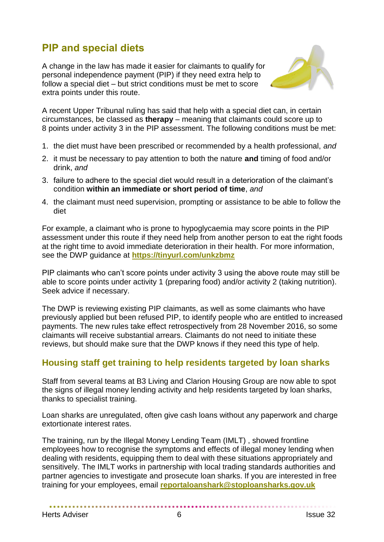# **PIP and special diets**

A change in the law has made it easier for claimants to qualify for personal independence payment (PIP) if they need extra help to follow a special diet – but strict conditions must be met to score extra points under this route.



<span id="page-5-0"></span>A recent Upper Tribunal ruling has said that help with a special diet can, in certain circumstances, be classed as **therapy** – meaning that claimants could score up to 8 points under activity 3 in the PIP assessment. The following conditions must be met:

- 1. the diet must have been prescribed or recommended by a health professional, *and*
- 2. it must be necessary to pay attention to both the nature **and** timing of food and/or drink, *and*
- 3. failure to adhere to the special diet would result in a deterioration of the claimant's condition **within an immediate or short period of time**, *and*
- 4. the claimant must need supervision, prompting or assistance to be able to follow the diet

For example, a claimant who is prone to hypoglycaemia may score points in the PIP assessment under this route if they need help from another person to eat the right foods at the right time to avoid immediate deterioration in their health. For more information, see the DWP guidance at **<https://tinyurl.com/unkzbmz>**

PIP claimants who can't score points under activity 3 using the above route may still be able to score points under activity 1 (preparing food) and/or activity 2 (taking nutrition). Seek advice if necessary.

The DWP is reviewing existing PIP claimants, as well as some claimants who have previously applied but been refused PIP, to identify people who are entitled to increased payments. The new rules take effect retrospectively from 28 November 2016, so some claimants will receive substantial arrears. Claimants do not need to initiate these reviews, but should make sure that the DWP knows if they need this type of help.

#### **Housing staff get training to help residents targeted by loan sharks**

Staff from several teams at B3 Living and Clarion Housing Group are now able to spot the signs of illegal money lending activity and help residents targeted by loan sharks, thanks to specialist training.

Loan sharks are unregulated, often give cash loans without any paperwork and charge extortionate interest rates.

The training, run by the Illegal Money Lending Team (IMLT) , showed frontline employees how to recognise the symptoms and effects of illegal money lending when dealing with residents, equipping them to deal with these situations appropriately and sensitively. The IMLT works in partnership with local trading standards authorities and partner agencies to investigate and prosecute loan sharks. If you are interested in free training for your employees, email **[reportaloanshark@stoploansharks.gov.uk](mailto:reportaloanshark@stoploansharks.gov.uk)**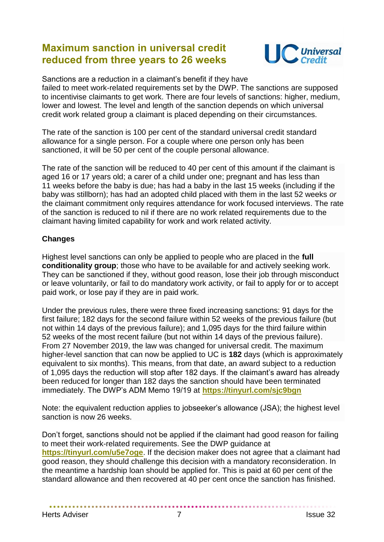## **Maximum sanction in universal credit reduced from three years to 26 weeks**



Sanctions are a reduction in a claimant's benefit if they have failed to meet work-related requirements set by the DWP. The sanctions are supposed to incentivise claimants to get work. There are four levels of sanctions: higher, medium, lower and lowest. The level and length of the sanction depends on which universal credit work related group a claimant is placed depending on their circumstances.

The rate of the sanction is 100 per cent of the standard universal credit standard allowance for a single person. For a couple where one person only has been sanctioned, it will be 50 per cent of the couple personal allowance.

The rate of the sanction will be reduced to 40 per cent of this amount if the claimant is aged 16 or 17 years old; a carer of a child under one; pregnant and has less than 11 weeks before the baby is due; has had a baby in the last 15 weeks (including if the baby was stillborn); has had an adopted child placed with them in the last 52 weeks *or* the claimant commitment only requires attendance for work focused interviews. The rate of the sanction is reduced to nil if there are no work related requirements due to the claimant having limited capability for work and work related activity.

#### **Changes**

Highest level sanctions can only be applied to people who are placed in the **full conditionality group**; those who have to be available for and actively seeking work. They can be sanctioned if they, without good reason, lose their job through misconduct or leave voluntarily, or fail to do mandatory work activity, or fail to apply for or to accept paid work, or lose pay if they are in paid work.

Under the previous rules, there were three fixed increasing sanctions: 91 days for the first failure; 182 days for the second failure within 52 weeks of the previous failure (but not within 14 days of the previous failure); and 1,095 days for the third failure within 52 weeks of the most recent failure (but not within 14 days of the previous failure). From 27 November 2019, the law was changed for universal credit. The maximum higher-level sanction that can now be applied to UC is **182** days (which is approximately equivalent to six months). This means, from that date, an award subject to a reduction of 1,095 days the reduction will stop after 182 days. If the claimant's award has already been reduced for longer than 182 days the sanction should have been terminated immediately. The DWP's ADM Memo 19/19 at **<https://tinyurl.com/sjc9bgn>**

Note: the equivalent reduction applies to jobseeker's allowance (JSA); the highest level sanction is now 26 weeks.

Don't forget, sanctions should not be applied if the claimant had good reason for failing to meet their work-related requirements. See the DWP guidance at **<https://tinyurl.com/u5e7oge>**. If the decision maker does not agree that a claimant had good reason, they should challenge this decision with a mandatory reconsideration. In the meantime a hardship loan should be applied for. This is paid at 60 per cent of the standard allowance and then recovered at 40 per cent once the sanction has finished.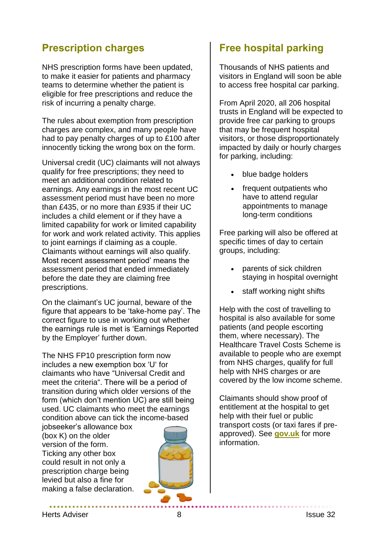# **Prescription charges**

NHS prescription forms have been updated, to make it easier for patients and pharmacy teams to determine whether the patient is eligible for free prescriptions and reduce the risk of incurring a penalty charge.

The rules about exemption from prescription charges are complex, and many people have had to pay penalty charges of up to £100 after innocently ticking the wrong box on the form.

Universal credit (UC) claimants will not always qualify for free prescriptions; they need to meet an additional condition related to earnings. Any earnings in the most recent UC assessment period must have been no more than £435, or no more than £935 if their UC includes a child element or if they have a limited capability for work or limited capability for work and work related activity. This applies to joint earnings if claiming as a couple. Claimants without earnings will also qualify. Most recent assessment period' means the assessment period that ended immediately before the date they are claiming free prescriptions.

On the claimant's UC journal, beware of the figure that appears to be 'take-home pay'. The correct figure to use in working out whether the earnings rule is met is 'Earnings Reported by the Employer' further down.

The NHS FP10 prescription form now includes a new exemption box 'U' for claimants who have "Universal Credit and meet the criteria". There will be a period of transition during which older versions of the form (which don't mention UC) are still being used. UC claimants who meet the earnings condition above can tick the income-based

jobseeker's allowance box (box K) on the older version of the form. Ticking any other box could result in not only a prescription charge being levied but also a fine for making a false declaration.



# **Free hospital parking**

Thousands of NHS patients and visitors in England will soon be able to access free hospital car parking.

From April 2020, all 206 hospital trusts in England will be expected to provide free car parking to groups that may be frequent hospital visitors, or those disproportionately impacted by daily or hourly charges for parking, including:

- blue badge holders
- frequent outpatients who have to attend regular appointments to manage long-term conditions

Free parking will also be offered at specific times of day to certain groups, including:

- parents of sick children staying in hospital overnight
- staff working night shifts

Help with the cost of travelling to hospital is also available for some patients (and people escorting them, where necessary). The Healthcare Travel Costs Scheme is available to people who are exempt from NHS charges, qualify for full help with NHS charges or are covered by the low income scheme.

Claimants should show proof of entitlement at the hospital to get help with their fuel or public transport costs (or taxi fares if preapproved). See **[gov.uk](https://www.gov.uk/government/news/free-hospital-parking-for-thousands-of-patients-staff-and-carers)** for more information.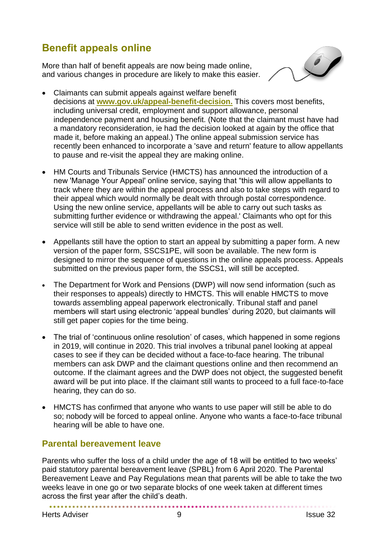# **Benefit appeals online**

More than half of benefit appeals are now being made online, and various changes in procedure are likely to make this easier.



- Claimants can submit appeals against welfare benefit decisions at **[www.gov.uk/appeal-benefit-decision.](http://www.gov.uk/appeal-benefit-decision)** This covers most benefits, including universal credit, employment and support allowance, personal independence payment and housing benefit. (Note that the claimant must have had a mandatory reconsideration, ie had the decision looked at again by the office that made it, before making an appeal.) The online appeal submission service has recently been enhanced to incorporate a 'save and return' feature to allow appellants to pause and re-visit the appeal they are making online.
- HM Courts and Tribunals Service (HMCTS) has announced the introduction of a new 'Manage Your Appeal' online service, saying that "this will allow appellants to track where they are within the appeal process and also to take steps with regard to their appeal which would normally be dealt with through postal correspondence. Using the new online service, appellants will be able to carry out such tasks as submitting further evidence or withdrawing the appeal.' Claimants who opt for this service will still be able to send written evidence in the post as well.
- Appellants still have the option to start an appeal by submitting a paper form. A new version of the paper form, SSCS1PE, will soon be available. The new form is designed to mirror the sequence of questions in the online appeals process. Appeals submitted on the previous paper form, the SSCS1, will still be accepted.
- The Department for Work and Pensions (DWP) will now send information (such as their responses to appeals) directly to HMCTS. This will enable HMCTS to move towards assembling appeal paperwork electronically. Tribunal staff and panel members will start using electronic 'appeal bundles' during 2020, but claimants will still get paper copies for the time being.
- The trial of 'continuous online resolution' of cases, which happened in some regions in 2019, will continue in 2020. This trial involves a tribunal panel looking at appeal cases to see if they can be decided without a face-to-face hearing. The tribunal members can ask DWP and the claimant questions online and then recommend an outcome. If the claimant agrees and the DWP does not object, the suggested benefit award will be put into place. If the claimant still wants to proceed to a full face-to-face hearing, they can do so.
- HMCTS has confirmed that anyone who wants to use paper will still be able to do so; nobody will be forced to appeal online. Anyone who wants a face-to-face tribunal hearing will be able to have one.

#### **Parental bereavement leave**

Parents who suffer the loss of a child under the age of 18 will be entitled to two weeks' paid statutory parental bereavement leave (SPBL) from 6 April 2020. The Parental Bereavement Leave and Pay Regulations mean that parents will be able to take the two weeks leave in one go or two separate blocks of one week taken at different times across the first year after the child's death.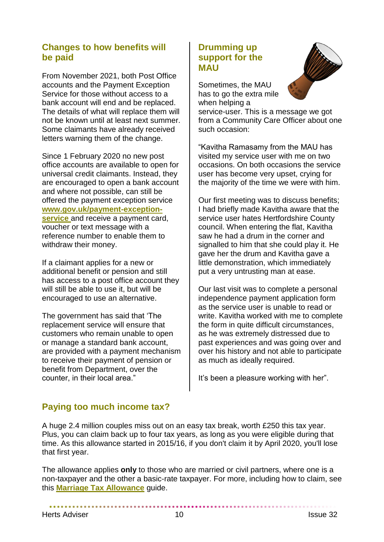#### **Changes to how benefits will be paid**

From November 2021, both Post Office accounts and the Payment Exception Service for those without access to a bank account will end and be replaced. The details of what will replace them will not be known until at least next summer. Some claimants have already received letters warning them of the change.

Since 1 February 2020 no new post office accounts are available to open for universal credit claimants. Instead, they are encouraged to open a bank account and where not possible, can still be offered the payment exception service **[www.gov.uk/payment-exception](https://www.gov.uk/payment-exception-service)[service](https://www.gov.uk/payment-exception-service)** and receive a payment card, voucher or text message with a reference number to enable them to withdraw their money.

If a claimant applies for a new or additional benefit or pension and still has access to a post office account they will still be able to use it, but will be encouraged to use an alternative.

The government has said that 'The replacement service will ensure that customers who remain unable to open or manage a standard bank account, are provided with a payment mechanism to receive their payment of pension or benefit from Department, over the counter, in their local area."

#### **Drumming up support for the MAU**



Sometimes, the MAU has to go the extra mile when helping a

service-user. This is a message we got from a Community Care Officer about one such occasion:

"Kavitha Ramasamy from the MAU has visited my service user with me on two occasions. On both occasions the service user has become very upset, crying for the majority of the time we were with him.

Our first meeting was to discuss benefits; I had briefly made Kavitha aware that the service user hates Hertfordshire County council. When entering the flat, Kavitha saw he had a drum in the corner and signalled to him that she could play it. He gave her the drum and Kavitha gave a little demonstration, which immediately put a very untrusting man at ease.

Our last visit was to complete a personal independence payment application form as the service user is unable to read or write. Kavitha worked with me to complete the form in quite difficult circumstances, as he was extremely distressed due to past experiences and was going over and over his history and not able to participate as much as ideally required.

It's been a pleasure working with her".

## **Paying too much income tax?**

......................

A huge 2.4 million couples miss out on an easy tax break, worth £250 this tax year. Plus, you can claim back up to four tax years, as long as you were eligible during that time. As this allowance started in 2015/16, if you don't claim it by April 2020, you'll lose that first year.

The allowance applies **only** to those who are married or civil partners, where one is a non-taxpayer and the other a basic-rate taxpayer. For more, including how to claim, see this **[Marriage Tax Allowance](https://click.email3.moneysavingexpert.com/?qs=66b07c7296226e595de20d3a782f982059c30f0cf0e89799019b2cc2df3c64708ee6b00b4a9c8ef9e6b8e854e2ab6d56e74ec2412d25b767)** guide.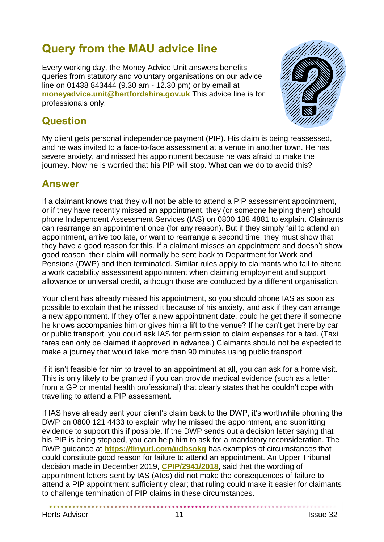# **Query from the MAU advice line**

Every working day, the Money Advice Unit answers benefits queries from statutory and voluntary organisations on our advice line on 01438 843444 (9.30 am - 12.30 pm) or by email at **[moneyadvice.unit@hertfordshire.gov.uk](mailto:moneyadvice.unit@hertfordshire.gov.uk)** This advice line is for professionals only.



# **Question**

My client gets personal independence payment (PIP). His claim is being reassessed, and he was invited to a face-to-face assessment at a venue in another town. He has severe anxiety, and missed his appointment because he was afraid to make the journey. Now he is worried that his PIP will stop. What can we do to avoid this?

## **Answer**

If a claimant knows that they will not be able to attend a PIP assessment appointment, or if they have recently missed an appointment, they (or someone helping them) should phone Independent Assessment Services (IAS) on [0800 188 4881](tel:0800%20188%204881) to explain. Claimants can rearrange an appointment once (for any reason). But if they simply fail to attend an appointment, arrive too late, or want to rearrange a second time, they must show that they have a good reason for this. If a claimant misses an appointment and doesn't show good reason, their claim will normally be sent back to Department for Work and Pensions (DWP) and then terminated. Similar rules apply to claimants who fail to attend a work capability assessment appointment when claiming employment and support allowance or universal credit, although those are conducted by a different organisation.

Your client has already missed his appointment, so you should phone IAS as soon as possible to explain that he missed it because of his anxiety, and ask if they can arrange a new appointment. If they offer a new appointment date, could he get there if someone he knows accompanies him or gives him a lift to the venue? If he can't get there by car or public transport, you could ask IAS for permission to claim expenses for a taxi. (Taxi fares can only be claimed if approved in advance.) Claimants should not be expected to make a journey that would take more than 90 minutes using public transport.

If it isn't feasible for him to travel to an appointment at all, you can ask for a home visit. This is only likely to be granted if you can provide medical evidence (such as a letter from a GP or mental health professional) that clearly states that he couldn't cope with travelling to attend a PIP assessment.

If IAS have already sent your client's claim back to the DWP, it's worthwhile phoning the DWP on 0800 121 4433 to explain why he missed the appointment, and submitting evidence to support this if possible. If the DWP sends out a decision letter saying that his PIP is being stopped, you can help him to ask for a mandatory reconsideration. The DWP guidance at **<https://tinyurl.com/udbsokg>** has examples of circumstances that could constitute good reason for failure to attend an appointment. An Upper Tribunal decision made in December 2019, **[CPIP/2941/2018](https://assets.publishing.service.gov.uk/media/5e1f081e40f0b610fcf6374e/CPIP_2941_2018-00.pdf)**, said that the wording of appointment letters sent by IAS (Atos) did not make the consequences of failure to attend a PIP appointment sufficiently clear; that ruling could make it easier for claimants to challenge termination of PIP claims in these circumstances.

. . . . . . . . . . . . . . . . . .